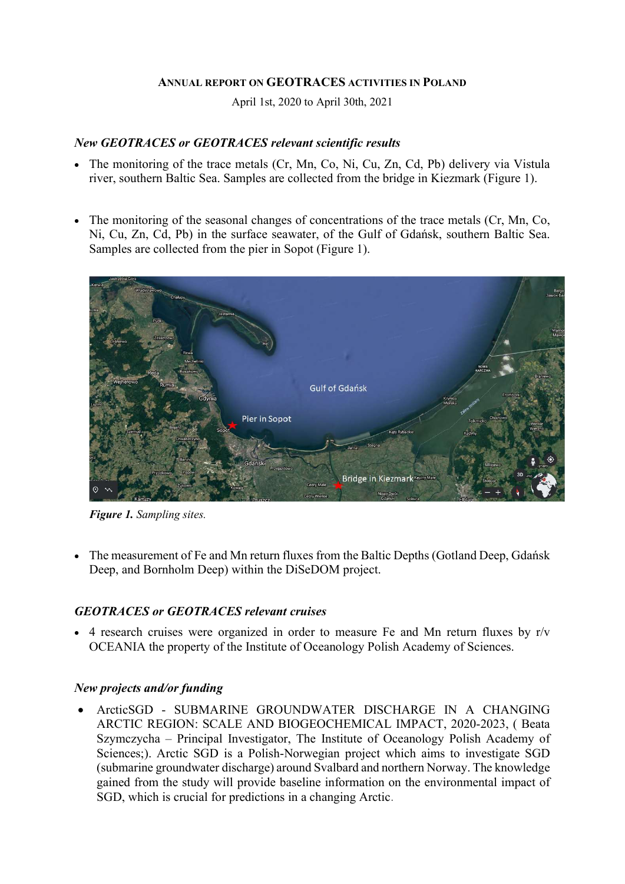#### ANNUAL REPORT ON GEOTRACES ACTIVITIES IN POLAND

April 1st, 2020 to April 30th, 2021

### New GEOTRACES or GEOTRACES relevant scientific results

- The monitoring of the trace metals (Cr, Mn, Co, Ni, Cu, Zn, Cd, Pb) delivery via Vistula river, southern Baltic Sea. Samples are collected from the bridge in Kiezmark (Figure 1).
- The monitoring of the seasonal changes of concentrations of the trace metals (Cr, Mn, Co, Ni, Cu, Zn, Cd, Pb) in the surface seawater, of the Gulf of Gdańsk, southern Baltic Sea. Samples are collected from the pier in Sopot (Figure 1).



Figure 1. Sampling sites.

 The measurement of Fe and Mn return fluxes from the Baltic Depths (Gotland Deep, Gdańsk Deep, and Bornholm Deep) within the DiSeDOM project.

# GEOTRACES or GEOTRACES relevant cruises

 $\bullet$  4 research cruises were organized in order to measure Fe and Mn return fluxes by r/v OCEANIA the property of the Institute of Oceanology Polish Academy of Sciences.

## New projects and/or funding

 ArcticSGD - SUBMARINE GROUNDWATER DISCHARGE IN A CHANGING ARCTIC REGION: SCALE AND BIOGEOCHEMICAL IMPACT, 2020-2023, ( Beata Szymczycha – Principal Investigator, The Institute of Oceanology Polish Academy of Sciences;). Arctic SGD is a Polish-Norwegian project which aims to investigate SGD (submarine groundwater discharge) around Svalbard and northern Norway. The knowledge gained from the study will provide baseline information on the environmental impact of SGD, which is crucial for predictions in a changing Arctic.